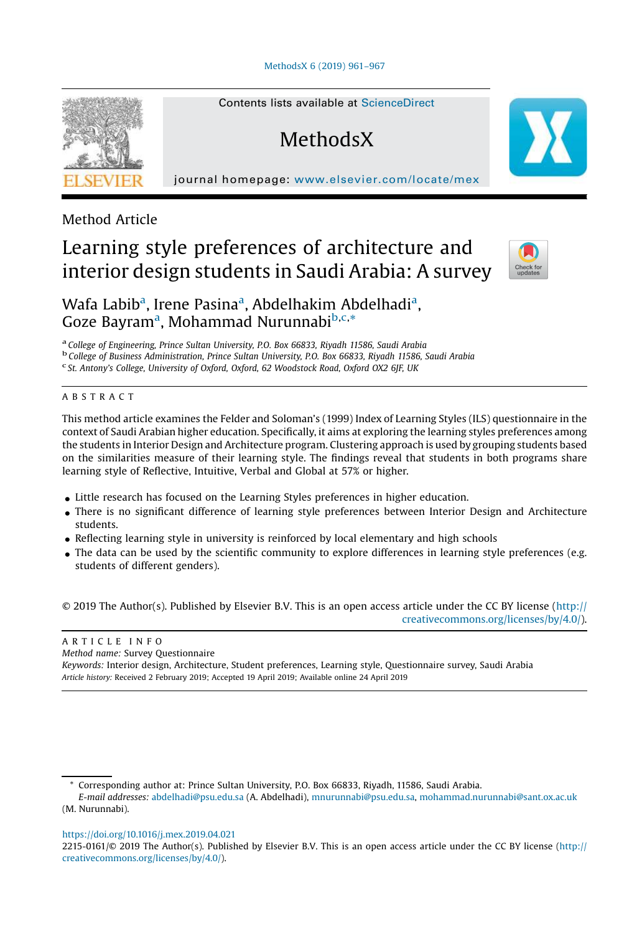#### [MethodsX](https://doi.org/10.1016/j.mex.2019.04.021) 6 (2019) 961–967



Contents lists available at [ScienceDirect](http://www.sciencedirect.com/science/journal/22150161)

# **MethodsX**

journal homepage: <www.elsevier.com/locate/mex>

### Method Article

# Learning style preferences of architecture and interior design students in Saudi Arabia: A survey



## Wafa Labib<sup>a</sup>, Irene Pasina<sup>a</sup>, Abdelhakim Abdelhadi<sup>a</sup>, Goze Bayram<sup>a</sup>, Mohammad Nurunnabi<sup>b,c,\*</sup>

a *College of Engineering, Prince Sultan University, P.O. Box 66833, Riyadh 11586, Saudi Arabia* b *College of Business Administration, Prince Sultan University, P.O. Box 66833, Riyadh 11586, Saudi Arabia* c *St. Antony*'*s College, University of Oxford, Oxford, 62 Woodstock Road, Oxford OX2 6JF, UK*

#### A B S T R A C T

This method article examines the Felder and Soloman's (1999) Index of Learning Styles (ILS) questionnaire in the context of Saudi Arabian higher education. Specifically, it aims at exploring the learning styles preferences among the students in Interior Design and Architecture program. Clustering approach is used by grouping students based on the similarities measure of their learning style. The findings reveal that students in both programs share learning style of Reflective, Intuitive, Verbal and Global at 57% or higher.

- Little research has focused on the Learning Styles preferences in higher education.
- There is no significant difference of learning style preferences between Interior Design and Architecture students.
- Reflecting learning style in university is reinforced by local elementary and high schools
- The data can be used by the scientific community to explore differences in learning style preferences (e.g. students of different genders).

© 2019 The Author(s). Published by Elsevier B.V. This is an open access article under the CC BY license ([http://](http://creativecommons.org/licenses/by/4.0/) [creativecommons.org/licenses/by/4.0/](http://creativecommons.org/licenses/by/4.0/)).

#### A R T I C L E I N F O *Method name:* Survey Questionnaire *Keywords:* Interior design, Architecture, Student preferences, Learning style, Questionnaire survey, Saudi Arabia *Article history:* Received 2 February 2019; Accepted 19 April 2019; Available online 24 April 2019

<https://doi.org/10.1016/j.mex.2019.04.021>

Corresponding author at: Prince Sultan University, P.O. Box 66833, Riyadh, 11586, Saudi Arabia.

*E-mail addresses:* [abdelhadi@psu.edu.sa](mailto:abdelhadi@psu.edu.sa) (A. Abdelhadi), [mnurunnabi@psu.edu.sa](mailto:mnurunnabi@psu.edu.sa), [mohammad.nurunnabi@sant.ox.ac.uk](mailto:mohammad.nurunnabi@sant.ox.ac.uk) (M. Nurunnabi).

<sup>2215-0161/©</sup> 2019 The Author(s). Published by Elsevier B.V. This is an open access article under the CC BY license ([http://](http://creativecommons.org/licenses/by/4.0/) [creativecommons.org/licenses/by/4.0/](http://creativecommons.org/licenses/by/4.0/)).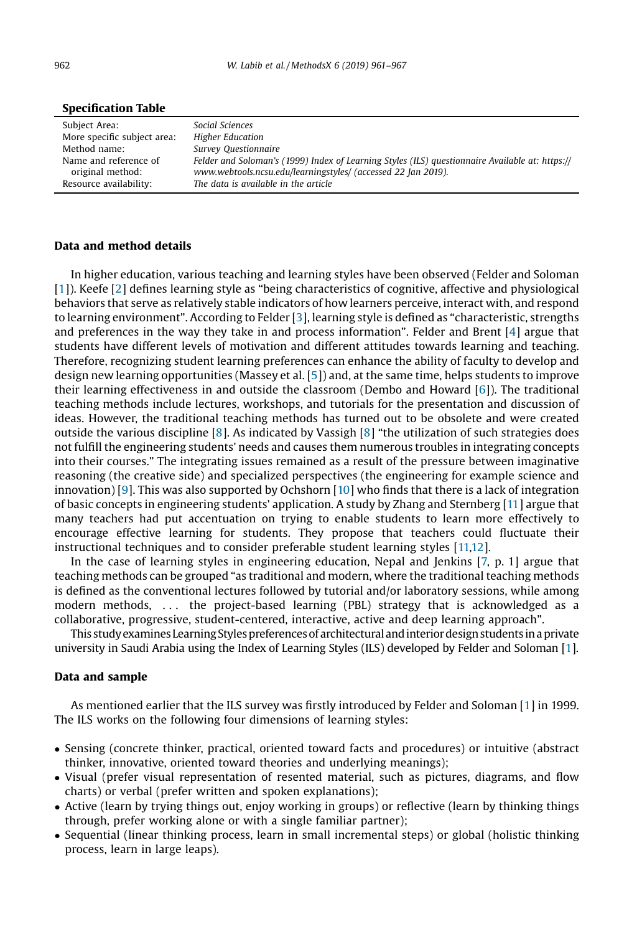| Subject Area:               | Social Sciences                                                                                 |
|-----------------------------|-------------------------------------------------------------------------------------------------|
| More specific subject area: | <b>Higher Education</b>                                                                         |
| Method name:                | Survey Questionnaire                                                                            |
| Name and reference of       | Felder and Soloman's (1999) Index of Learning Styles (ILS) questionnaire Available at: https:// |
| original method:            | www.webtools.ncsu.edu/learningstyles/ (accessed 22 Jan 2019).                                   |
| Resource availability:      | The data is available in the article                                                            |

#### Specification Table

#### Data and method details

In higher education, various teaching and learning styles have been observed (Felder and Soloman [[1](#page-6-0)]). Keefe [\[2](#page-6-0)] defines learning style as "being characteristics of cognitive, affective and physiological behaviors that serve as relatively stable indicators of how learners perceive, interact with, and respond to learning environment". According to Felder [[3\]](#page-6-0), learning style is defined as "characteristic, strengths and preferences in the way they take in and process information". Felder and Brent [\[4](#page-6-0)] argue that students have different levels of motivation and different attitudes towards learning and teaching. Therefore, recognizing student learning preferences can enhance the ability of faculty to develop and design new learning opportunities (Massey et al. [[5\]](#page-6-0)) and, at the same time, helps students to improve their learning effectiveness in and outside the classroom (Dembo and Howard [\[6](#page-6-0)]). The traditional teaching methods include lectures, workshops, and tutorials for the presentation and discussion of ideas. However, the traditional teaching methods has turned out to be obsolete and were created outside the various discipline [\[8](#page-6-0)]. As indicated by Vassigh [\[8](#page-6-0)] "the utilization of such strategies does not fulfill the engineering students' needs and causes them numerous troubles in integrating concepts into their courses." The integrating issues remained as a result of the pressure between imaginative reasoning (the creative side) and specialized perspectives (the engineering for example science and innovation) [[9](#page-6-0)]. This was also supported by Ochshorn [[10](#page-6-0)] who finds that there is a lack of integration of basic concepts in engineering students' application. A study by Zhang and Sternberg [[11](#page-6-0)] argue that many teachers had put accentuation on trying to enable students to learn more effectively to encourage effective learning for students. They propose that teachers could fluctuate their instructional techniques and to consider preferable student learning styles [[11,12](#page-6-0)].

In the case of learning styles in engineering education, Nepal and Jenkins [[7,](#page-6-0) p. 1] argue that teaching methods can be grouped "as traditional and modern, where the traditional teaching methods is defined as the conventional lectures followed by tutorial and/or laboratory sessions, while among modern methods, ... the project-based learning (PBL) strategy that is acknowledged as a collaborative, progressive, student-centered, interactive, active and deep learning approach".

This study examines Learning Styles preferences of architectural and interior design students in a private university in Saudi Arabia using the Index of Learning Styles (ILS) developed by Felder and Soloman [\[1](#page-6-0)].

#### Data and sample

As mentioned earlier that the ILS survey was firstly introduced by Felder and Soloman [\[1](#page-6-0)] in 1999. The ILS works on the following four dimensions of learning styles:

- Sensing (concrete thinker, practical, oriented toward facts and procedures) or intuitive (abstract thinker, innovative, oriented toward theories and underlying meanings);
- Visual (prefer visual representation of resented material, such as pictures, diagrams, and flow charts) or verbal (prefer written and spoken explanations);
- Active (learn by trying things out, enjoy working in groups) or reflective (learn by thinking things through, prefer working alone or with a single familiar partner);
- Sequential (linear thinking process, learn in small incremental steps) or global (holistic thinking process, learn in large leaps).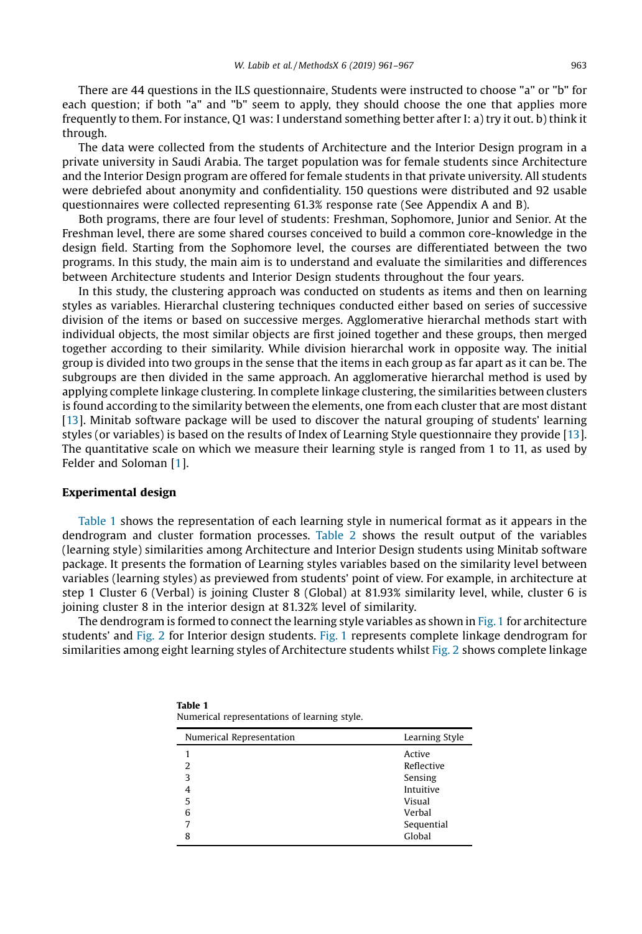There are 44 questions in the ILS questionnaire, Students were instructed to choose "a" or "b" for each question; if both "a" and "b" seem to apply, they should choose the one that applies more frequently to them. For instance, Q1 was: I understand something better after I: a) try it out. b) think it through.

The data were collected from the students of Architecture and the Interior Design program in a private university in Saudi Arabia. The target population was for female students since Architecture and the Interior Design program are offered for female students in that private university. All students were debriefed about anonymity and confidentiality. 150 questions were distributed and 92 usable questionnaires were collected representing 61.3% response rate (See Appendix A and B).

Both programs, there are four level of students: Freshman, Sophomore, Junior and Senior. At the Freshman level, there are some shared courses conceived to build a common core-knowledge in the design field. Starting from the Sophomore level, the courses are differentiated between the two programs. In this study, the main aim is to understand and evaluate the similarities and differences between Architecture students and Interior Design students throughout the four years.

In this study, the clustering approach was conducted on students as items and then on learning styles as variables. Hierarchal clustering techniques conducted either based on series of successive division of the items or based on successive merges. Agglomerative hierarchal methods start with individual objects, the most similar objects are first joined together and these groups, then merged together according to their similarity. While division hierarchal work in opposite way. The initial group is divided into two groups in the sense that the items in each group as far apart as it can be. The subgroups are then divided in the same approach. An agglomerative hierarchal method is used by applying complete linkage clustering. In complete linkage clustering, the similarities between clusters is found according to the similarity between the elements, one from each cluster that are most distant [\[13](#page-6-0)]. Minitab software package will be used to discover the natural grouping of students' learning styles (or variables) is based on the results of Index of Learning Style questionnaire they provide [[13\]](#page-6-0). The quantitative scale on which we measure their learning style is ranged from 1 to 11, as used by Felder and Soloman [[1](#page-6-0)].

#### Experimental design

Table 1 shows the representation of each learning style in numerical format as it appears in the dendrogram and cluster formation processes. [Table](#page-3-0) 2 shows the result output of the variables (learning style) similarities among Architecture and Interior Design students using Minitab software package. It presents the formation of Learning styles variables based on the similarity level between variables (learning styles) as previewed from students' point of view. For example, in architecture at step 1 Cluster 6 (Verbal) is joining Cluster 8 (Global) at 81.93% similarity level, while, cluster 6 is joining cluster 8 in the interior design at 81.32% level of similarity.

The dendrogram is formed to connect the learning style variables as shown in [Fig. 1](#page-3-0) for architecture students' and [Fig.](#page-3-0) 2 for Interior design students. [Fig.](#page-3-0) 1 represents complete linkage dendrogram for similarities among eight learning styles of Architecture students whilst [Fig.](#page-3-0) 2 shows complete linkage

| Numerical Representation | Learning Style |
|--------------------------|----------------|
|                          | Active         |
| 2                        | Reflective     |
| 3                        | Sensing        |
| 4                        | Intuitive      |
| 5                        | Visual         |
| 6                        | Verbal         |
| 7                        | Sequential     |
| 8                        | Global         |

| Table T |                                              |
|---------|----------------------------------------------|
|         | Numerical representations of learning style. |

 $T = T$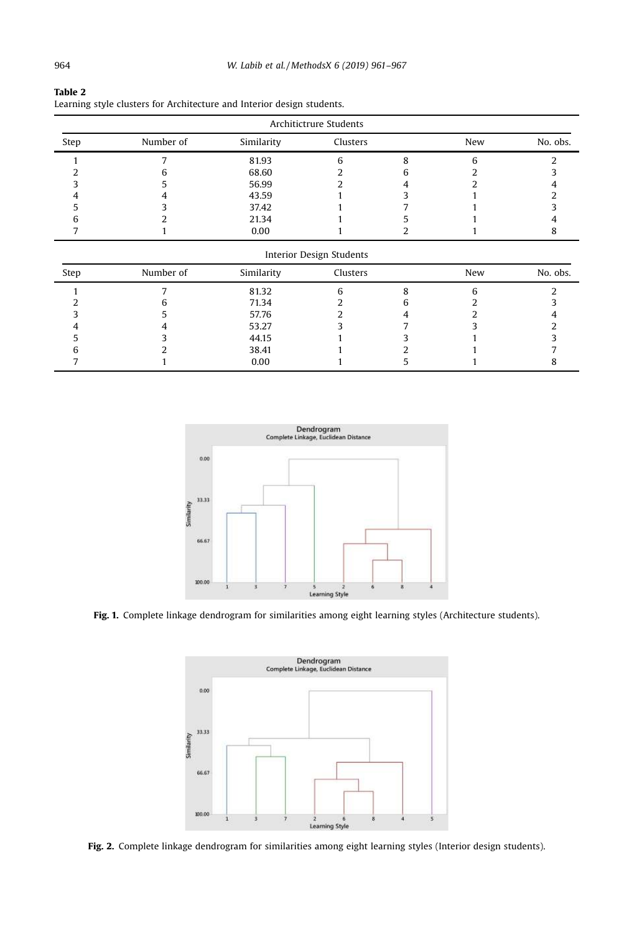| Architictrure Students |           |            |                          |   |     |          |  |  |
|------------------------|-----------|------------|--------------------------|---|-----|----------|--|--|
| Step                   | Number of | Similarity | Clusters                 |   | New | No. obs. |  |  |
|                        |           | 81.93      | 6                        | 8 | 6   |          |  |  |
|                        |           | 68.60      |                          | n |     |          |  |  |
|                        |           | 56.99      |                          |   |     |          |  |  |
|                        |           | 43.59      |                          |   |     |          |  |  |
|                        |           | 37.42      |                          |   |     |          |  |  |
| n                      |           | 21.34      |                          |   |     |          |  |  |
|                        |           | 0.00       |                          |   |     | 8        |  |  |
|                        |           |            | Interior Design Students |   |     |          |  |  |
| Step                   | Number of | Similarity | Clusters                 |   | New | No. obs. |  |  |
|                        |           | 81.32      | 6                        | 8 | 6   | っ        |  |  |
|                        |           | 71.34      |                          |   |     |          |  |  |
|                        |           | 57.76      |                          |   |     |          |  |  |
|                        |           | 53.27      |                          |   |     |          |  |  |
|                        |           | 44.15      |                          |   |     |          |  |  |
| n                      |           | 38.41      |                          |   |     |          |  |  |

7 1 0.00 1 5 1 8

<span id="page-3-0"></span>

| Table 2                                                                |  |
|------------------------------------------------------------------------|--|
| Learning style clusters for Architecture and Interior design students. |  |



Fig. 1. Complete linkage dendrogram for similarities among eight learning styles (Architecture students).



Fig. 2. Complete linkage dendrogram for similarities among eight learning styles (Interior design students).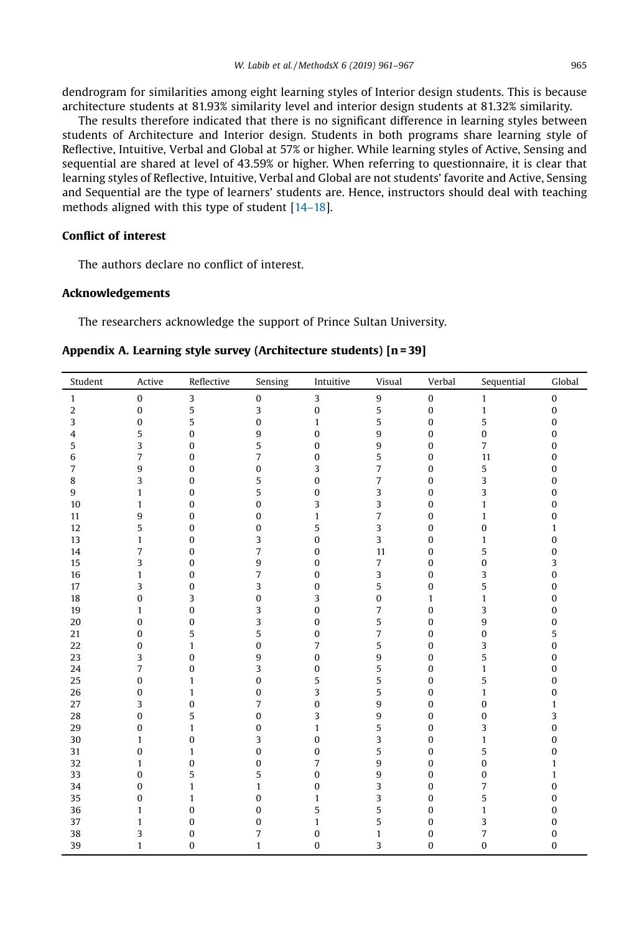dendrogram for similarities among eight learning styles of Interior design students. This is because architecture students at 81.93% similarity level and interior design students at 81.32% similarity.

The results therefore indicated that there is no significant difference in learning styles between students of Architecture and Interior design. Students in both programs share learning style of Reflective, Intuitive, Verbal and Global at 57% or higher. While learning styles of Active, Sensing and sequential are shared at level of 43.59% or higher. When referring to questionnaire, it is clear that learning styles of Reflective, Intuitive, Verbal and Global are not students' favorite and Active, Sensing and Sequential are the type of learners' students are. Hence, instructors should deal with teaching methods aligned with this type of student [14–[18\]](#page-6-0).

#### Conflict of interest

The authors declare no conflict of interest.

#### Acknowledgements

The researchers acknowledge the support of Prince Sultan University.

| Student        | Active           | Reflective       | Sensing          | Intuitive        | Visual         | Verbal           | Sequential     | Global           |
|----------------|------------------|------------------|------------------|------------------|----------------|------------------|----------------|------------------|
| $\mathbf{1}$   | $\boldsymbol{0}$ | 3                | $\pmb{0}$        | 3                | 9              | $\boldsymbol{0}$ | $\mathbf{1}$   | $\boldsymbol{0}$ |
| $\overline{2}$ | $\bf{0}$         | 5                | 3                | $\boldsymbol{0}$ | 5              | $\pmb{0}$        | $\mathbf{1}$   | $\bf{0}$         |
| 3              | $\pmb{0}$        | 5                | $\bf{0}$         | $\mathbf{1}$     | 5              | 0                | 5              | $\boldsymbol{0}$ |
| $\overline{4}$ | 5                | $\bf{0}$         | 9                | $\bf{0}$         | 9              | 0                | 0              | $\boldsymbol{0}$ |
| 5              | 3                | $\bf{0}$         | 5                | $\mathbf{0}$     | 9              | 0                | $\overline{7}$ | $\boldsymbol{0}$ |
| 6              | $\overline{7}$   | $\bf{0}$         | $\overline{7}$   | $\mathbf{0}$     | 5              | 0                | 11             | $\mathbf{0}$     |
| $\overline{7}$ | $\boldsymbol{9}$ | $\mathbf{0}$     | $\pmb{0}$        | 3                | $\overline{7}$ | 0                | 5              | $\boldsymbol{0}$ |
| 8              | 3                | 0                | 5                | $\bf{0}$         | $\overline{7}$ | 0                | 3              | $\boldsymbol{0}$ |
| 9              | $\mathbf{1}$     | $\bf{0}$         | 5                | $\bf{0}$         | 3              | 0                | 3              | $\boldsymbol{0}$ |
| 10             | $\mathbf{1}$     | 0                | $\bf{0}$         | 3                | 3              | 0                | $\mathbf{1}$   | $\boldsymbol{0}$ |
| 11             | $\boldsymbol{9}$ | 0                | $\pmb{0}$        | $\mathbf{1}$     | $\overline{7}$ | 0                | $\mathbf{1}$   | $\boldsymbol{0}$ |
| 12             | 5                | 0                | $\bf{0}$         | 5                | $\overline{3}$ | 0                | $\bf{0}$       | $\mathbf{1}$     |
| 13             | $\mathbf{1}$     | 0                | 3                | $\bf{0}$         | 3              | 0                | $\mathbf{1}$   | $\boldsymbol{0}$ |
| 14             | $\overline{7}$   | $\mathbf{0}$     | $\overline{7}$   | $\mathbf{0}$     | 11             | 0                | 5              | $\boldsymbol{0}$ |
| 15             | 3                | $\bf{0}$         | 9                | $\mathbf{0}$     | $\overline{7}$ | 0                | 0              | 3                |
| 16             | $\mathbf{1}$     | 0                | 7                | $\bf{0}$         | 3              | 0                | 3              | $\bf{0}$         |
| 17             | 3                | $\boldsymbol{0}$ | 3                | $\bf{0}$         | 5              | 0                | 5              | $\boldsymbol{0}$ |
| 18             | $\pmb{0}$        | 3                | $\bf{0}$         | 3                | $\bf{0}$       | $\mathbf{1}$     | $\mathbf{1}$   | $\boldsymbol{0}$ |
| 19             | $\mathbf{1}$     | $\bf{0}$         | 3                | $\bf{0}$         | $\overline{7}$ | 0                | 3              | $\boldsymbol{0}$ |
| 20             | $\bf{0}$         | $\bf{0}$         | 3                | $\mathbf{0}$     | 5              | 0                | 9              | $\boldsymbol{0}$ |
| 21             | $\bf{0}$         | 5                | 5                | $\bf{0}$         | $\overline{7}$ | 0                | $\bf{0}$       | 5                |
| 22             | $\pmb{0}$        | $\mathbf{1}$     | $\bf{0}$         | 7                | 5              | 0                | 3              | $\boldsymbol{0}$ |
| 23             | 3                | $\bf{0}$         | $\boldsymbol{9}$ | $\bf{0}$         | 9              | 0                | 5              | $\boldsymbol{0}$ |
| 24             | $\overline{7}$   | $\bf{0}$         | 3                | $\bf{0}$         | 5              | 0                | $\mathbf{1}$   | $\boldsymbol{0}$ |
| 25             | $\pmb{0}$        | $\mathbf{1}$     | $\bf{0}$         | 5                | 5              | 0                | 5              | $\boldsymbol{0}$ |
| 26             | $\bf{0}$         | $\mathbf{1}$     | $\pmb{0}$        | 3                | 5              | 0                | $\mathbf{1}$   | $\boldsymbol{0}$ |
| 27             | 3                | $\mathbf{0}$     | $\overline{7}$   | $\mathbf{0}$     | 9              | 0                | $\bf{0}$       | $\mathbf{1}$     |
| 28             | $\bf{0}$         | 5                | $\pmb{0}$        | 3                | 9              | 0                | $\bf{0}$       | 3                |
| 29             | $\pmb{0}$        | $\mathbf{1}$     | $\boldsymbol{0}$ | $\mathbf{1}$     | 5              | 0                | 3              | $\boldsymbol{0}$ |
| 30             | $\mathbf{1}$     | $\bf{0}$         | 3                | $\bf{0}$         | 3              | 0                | $\mathbf{1}$   | $\boldsymbol{0}$ |
| 31             | $\pmb{0}$        | $\mathbf{1}$     | $\bf{0}$         | $\bf{0}$         | 5              | 0                | 5              | $\boldsymbol{0}$ |
| 32             | $\mathbf{1}$     | $\bf{0}$         | $\bf{0}$         | 7                | 9              | 0                | $\bf{0}$       | $\mathbf{1}$     |
| 33             | $\pmb{0}$        | 5                | 5                | $\bf{0}$         | 9              | 0                | $\bf{0}$       | $\mathbf{1}$     |
| 34             | $\bf{0}$         | $\mathbf{1}$     | $\mathbf{1}$     | $\bf{0}$         | 3              | $\pmb{0}$        | $\overline{7}$ | $\boldsymbol{0}$ |
| 35             | $\bf{0}$         | $\mathbf{1}$     | $\bf{0}$         | $\mathbf{1}$     | 3              | 0                | 5              | $\boldsymbol{0}$ |
| 36             | $\mathbf{1}$     | $\mathbf 0$      | $\bf{0}$         | 5                | 5              | 0                | $\mathbf{1}$   | $\bf{0}$         |
| 37             | $\mathbf{1}$     | $\bf{0}$         | $\pmb{0}$        | $\mathbf{1}$     | 5              | 0                | 3              | $\boldsymbol{0}$ |
| 38             | 3                | $\boldsymbol{0}$ | 7                | $\bf{0}$         | $\mathbf{1}$   | $\bf{0}$         | 7              | $\boldsymbol{0}$ |
| 39             | $\mathbf{1}$     | 0                | $\mathbf{1}$     | $\bf{0}$         | 3              | 0                | $\pmb{0}$      | $\boldsymbol{0}$ |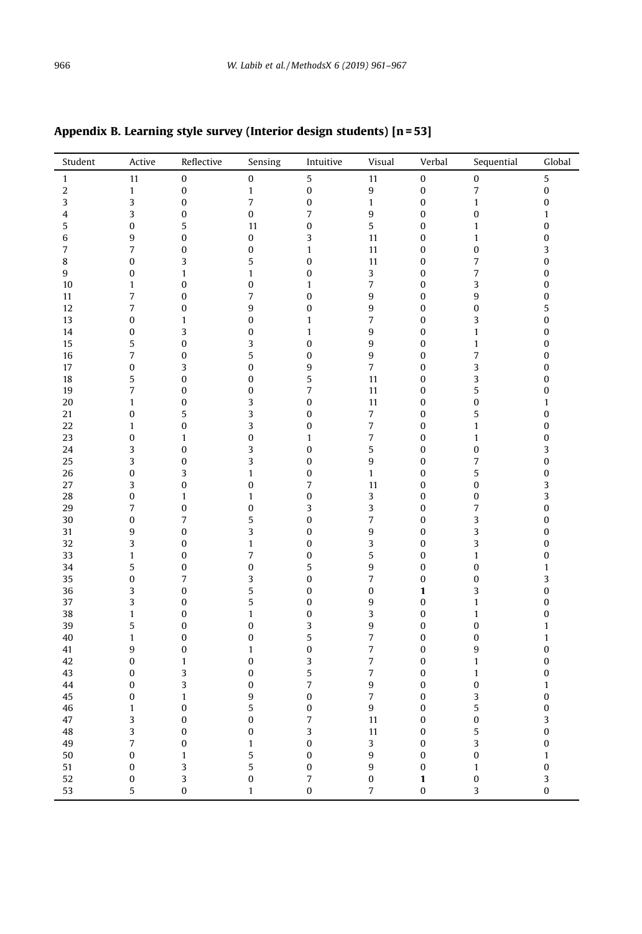| $\sqrt{5}$<br>5<br>11<br>$\boldsymbol{0}$<br>$\pmb{0}$<br>11<br>$\pmb{0}$<br>$\pmb{0}$<br>$\mathbf{1}$<br>$\boldsymbol{0}$<br>$\bf{0}$<br>$\overline{7}$<br>$\boldsymbol{0}$<br>$\overline{2}$<br>$\mathbf{1}$<br>$\mathbf{1}$<br>9<br>$\boldsymbol{0}$<br>3<br>$\overline{\phantom{a}}$<br>$\pmb{0}$<br>3<br>$\boldsymbol{0}$<br>0<br>$\mathbf{1}$<br>$\pmb{0}$<br>$\mathbf{1}$<br>3<br>$\pmb{0}$<br>0<br>$\overline{7}$<br>9<br>$\pmb{0}$<br>$\bf{0}$<br>$\mathbf{1}$<br>4<br>$\bf{0}$<br>5<br>$\bf{0}$<br>5<br>$\bf{0}$<br>5<br>11<br>$\pmb{0}$<br>$\mathbf{1}$<br>9<br>$\pmb{0}$<br>6<br>$\bf{0}$<br>$\pmb{0}$<br>3<br>11<br>$\pmb{0}$<br>$\mathbf{1}$<br>$\overline{7}$<br>$\pmb{0}$<br>$\bf{0}$<br>3<br>7<br>$\pmb{0}$<br>$\mathbf{1}$<br>11<br>$\bf{0}$<br>$\bf{0}$<br>3<br>5<br>$\bf{0}$<br>$\overline{7}$<br>$\pmb{0}$<br>8<br>11<br>$\pmb{0}$<br>$\overline{7}$<br>$\bf{0}$<br>9<br>0<br>$\mathbf{1}$<br>$\mathbf{1}$<br>$\pmb{0}$<br>3<br>$\pmb{0}$<br>$\overline{7}$<br>$\mathbf{1}$<br>$\pmb{0}$<br>$\bf{0}$<br>$\pmb{0}$<br>3<br>0<br>10<br>$\mathbf{1}$<br>$\overline{7}$<br>9<br>9<br>$\pmb{0}$<br>$\pmb{0}$<br>7<br>$\bf{0}$<br>$\pmb{0}$<br>11<br>$\overline{7}$<br>9<br>9<br>5<br>12<br>$\pmb{0}$<br>$\pmb{0}$<br>$\pmb{0}$<br>$\pmb{0}$<br>$\overline{7}$<br>3<br>$\overline{0}$<br>$\bf{0}$<br>$\bf{0}$<br>13<br>$\mathbf{1}$<br>$\mathbf{1}$<br>$\bf{0}$<br>3<br>9<br>$\pmb{0}$<br>14<br>0<br>$\boldsymbol{0}$<br>$\mathbf{1}$<br>$\bf{0}$<br>$\mathbf{1}$<br>9<br>15<br>5<br>$\pmb{0}$<br>3<br>$\pmb{0}$<br>$\pmb{0}$<br>$\mathbf{1}$<br>$\pmb{0}$<br>7<br>5<br>9<br>$\overline{7}$<br>$\bf{0}$<br>16<br>$\pmb{0}$<br>$\pmb{0}$<br>$\pmb{0}$<br>0<br>3<br>$\bf{0}$<br>9<br>$\overline{7}$<br>3<br>$\pmb{0}$<br>17<br>$\bf{0}$<br>5<br>$\sqrt{5}$<br>3<br>$\pmb{0}$<br>18<br>$\pmb{0}$<br>$\bf{0}$<br>11<br>$\pmb{0}$<br>7<br>5<br>19<br>$\pmb{0}$<br>$\bf{0}$<br>$\overline{7}$<br>$\pmb{0}$<br>0<br>11<br>$\mathbf 0$<br>3<br>$\mathbf{0}$<br>$\bf{0}$<br>$\mathbf{1}$<br>20<br>$\mathbf{1}$<br>11<br>$\mathbf{0}$<br>3<br>5<br>$\pmb{0}$<br>0<br>5<br>0<br>$\overline{7}$<br>21<br>$\pmb{0}$<br>22<br>$\pmb{0}$<br>3<br>$\pmb{0}$<br>$\overline{7}$<br>$\mathbf{1}$<br>0<br>$\mathbf{1}$<br>$\bf{0}$<br>$\bf{0}$<br>$\overline{7}$<br>$\pmb{0}$<br>23<br>0<br>$\mathbf{1}$<br>$\mathbf{1}$<br>$\bf{0}$<br>$\mathbf{1}$<br>$\overline{\mathbf{3}}$<br>3<br>$\mathbf{0}$<br>5<br>$\boldsymbol{0}$<br>24<br>$\pmb{0}$<br>3<br>0<br>3<br>9<br>$\pmb{0}$<br>25<br>3<br>$\pmb{0}$<br>$\pmb{0}$<br>$\pmb{0}$<br>$\overline{7}$<br>$\pmb{0}$<br>$\bf{0}$<br>5<br>26<br>3<br>$\mathbf{1}$<br>$\pmb{0}$<br>$\mathbf{1}$<br>$\pmb{0}$<br>3<br>$\mathbf 0$<br>$\overline{7}$<br>27<br>3<br>$\mathbf{0}$<br>11<br>$\mathbf{0}$<br>$\mathbf{0}$<br>$\overline{\mathbf{3}}$<br>28<br>0<br>$\pmb{0}$<br>3<br>$\pmb{0}$<br>$\pmb{0}$<br>$\mathbf{1}$<br>$\mathbf{1}$<br>$\mathbf 0$<br>7<br>3<br>$\overline{7}$<br>29<br>$\pmb{0}$<br>$\boldsymbol{0}$<br>3<br>$\bf{0}$<br>$\overline{7}$<br>5<br>7<br>3<br>30<br>0<br>$\pmb{0}$<br>$\pmb{0}$<br>0<br>9<br>3<br>9<br>$\bf{0}$<br>3<br>$\bf{0}$<br>$\bf{0}$<br>31<br>$\bf{0}$<br>32<br>3<br>$\mathbf{1}$<br>$\pmb{0}$<br>3<br>3<br>$\pmb{0}$<br>$\pmb{0}$<br>$\bf{0}$<br>$\overline{7}$<br>5<br>$\bf{0}$<br>33<br>$\pmb{0}$<br>$\pmb{0}$<br>$\pmb{0}$<br>$\mathbf{1}$<br>$\mathbf{1}$<br>5<br>9<br>$\bf{0}$<br>34<br>$\pmb{0}$<br>$\bf{0}$<br>5<br>$\bf{0}$<br>$\mathbf{1}$<br>7<br>$\overline{\mathbf{3}}$<br>35<br>0<br>$\overline{7}$<br>3<br>$\pmb{0}$<br>$\pmb{0}$<br>$\boldsymbol{0}$<br>5<br>3<br>$\bf{0}$<br>3<br>$\pmb{0}$<br>0<br>36<br>0<br>$\mathbf{1}$<br>3<br>$\bf{0}$<br>37<br>$\pmb{0}$<br>5<br>$\pmb{0}$<br>9<br>$\bf{0}$<br>$\mathbf{1}$<br>38<br>$\mathbf{1}$<br>$\bf{0}$<br>3<br>$\mathbf{1}$<br>$\bf{0}$<br>$\pmb{0}$<br>$\mathbf{1}$<br>$\pmb{0}$<br>5<br>3<br>9<br>39<br>$\pmb{0}$<br>0<br>$\bf{0}$<br>0<br>$\mathbf{1}$<br>7<br>40<br>$\mathbf{1}$<br>$\pmb{0}$<br>$\bf{0}$<br>5<br>$\bf{0}$<br>$\pmb{0}$<br>$\mathbf{1}$<br>$\pmb{0}$<br>9<br>$\bf{0}$<br>$\bf{0}$<br>$\overline{7}$<br>9<br>41<br>$\pmb{0}$<br>$\mathbf{1}$<br>3<br>$\overline{7}$<br>$\pmb{0}$<br>42<br>0<br>$\mathbf{1}$<br>$\bf{0}$<br>$\bf{0}$<br>$\mathbf{1}$<br>7<br>43<br>0<br>3<br>$\bf{0}$<br>5<br>$\bf{0}$<br>$\mathbf{1}$<br>$\pmb{0}$<br>$\overline{7}$<br>9<br>$\bf{0}$<br>44<br>0<br>3<br>$\bf{0}$<br>$\pmb{0}$ | Student | Active | Reflective | Sensing | Intuitive | Visual | Verbal | Sequential | Global       |
|--------------------------------------------------------------------------------------------------------------------------------------------------------------------------------------------------------------------------------------------------------------------------------------------------------------------------------------------------------------------------------------------------------------------------------------------------------------------------------------------------------------------------------------------------------------------------------------------------------------------------------------------------------------------------------------------------------------------------------------------------------------------------------------------------------------------------------------------------------------------------------------------------------------------------------------------------------------------------------------------------------------------------------------------------------------------------------------------------------------------------------------------------------------------------------------------------------------------------------------------------------------------------------------------------------------------------------------------------------------------------------------------------------------------------------------------------------------------------------------------------------------------------------------------------------------------------------------------------------------------------------------------------------------------------------------------------------------------------------------------------------------------------------------------------------------------------------------------------------------------------------------------------------------------------------------------------------------------------------------------------------------------------------------------------------------------------------------------------------------------------------------------------------------------------------------------------------------------------------------------------------------------------------------------------------------------------------------------------------------------------------------------------------------------------------------------------------------------------------------------------------------------------------------------------------------------------------------------------------------------------------------------------------------------------------------------------------------------------------------------------------------------------------------------------------------------------------------------------------------------------------------------------------------------------------------------------------------------------------------------------------------------------------------------------------------------------------------------------------------------------------------------------------------------------------------------------------------------------------------------------------------------------------------------------------------------------------------------------------------------------------------------------------------------------------------------------------------------------------------------------------------------------------------------------------------------------------------------------------------------------------------------------------------------------------------------------------------------------------------------------------------------------------------------------------------------------------------------------------------------------------------------------------------------------------------------------------------------------------------------------------------------------------------------------------------------------------------------------------------------------------------------------------------------------------------------------------------------------------------------------------------------------------------------------------------------------------------------------------------------------------|---------|--------|------------|---------|-----------|--------|--------|------------|--------------|
|                                                                                                                                                                                                                                                                                                                                                                                                                                                                                                                                                                                                                                                                                                                                                                                                                                                                                                                                                                                                                                                                                                                                                                                                                                                                                                                                                                                                                                                                                                                                                                                                                                                                                                                                                                                                                                                                                                                                                                                                                                                                                                                                                                                                                                                                                                                                                                                                                                                                                                                                                                                                                                                                                                                                                                                                                                                                                                                                                                                                                                                                                                                                                                                                                                                                                                                                                                                                                                                                                                                                                                                                                                                                                                                                                                                                                                                                                                                                                                                                                                                                                                                                                                                                                                                                                                                                                                                |         |        |            |         |           |        |        |            |              |
|                                                                                                                                                                                                                                                                                                                                                                                                                                                                                                                                                                                                                                                                                                                                                                                                                                                                                                                                                                                                                                                                                                                                                                                                                                                                                                                                                                                                                                                                                                                                                                                                                                                                                                                                                                                                                                                                                                                                                                                                                                                                                                                                                                                                                                                                                                                                                                                                                                                                                                                                                                                                                                                                                                                                                                                                                                                                                                                                                                                                                                                                                                                                                                                                                                                                                                                                                                                                                                                                                                                                                                                                                                                                                                                                                                                                                                                                                                                                                                                                                                                                                                                                                                                                                                                                                                                                                                                |         |        |            |         |           |        |        |            |              |
|                                                                                                                                                                                                                                                                                                                                                                                                                                                                                                                                                                                                                                                                                                                                                                                                                                                                                                                                                                                                                                                                                                                                                                                                                                                                                                                                                                                                                                                                                                                                                                                                                                                                                                                                                                                                                                                                                                                                                                                                                                                                                                                                                                                                                                                                                                                                                                                                                                                                                                                                                                                                                                                                                                                                                                                                                                                                                                                                                                                                                                                                                                                                                                                                                                                                                                                                                                                                                                                                                                                                                                                                                                                                                                                                                                                                                                                                                                                                                                                                                                                                                                                                                                                                                                                                                                                                                                                |         |        |            |         |           |        |        |            |              |
|                                                                                                                                                                                                                                                                                                                                                                                                                                                                                                                                                                                                                                                                                                                                                                                                                                                                                                                                                                                                                                                                                                                                                                                                                                                                                                                                                                                                                                                                                                                                                                                                                                                                                                                                                                                                                                                                                                                                                                                                                                                                                                                                                                                                                                                                                                                                                                                                                                                                                                                                                                                                                                                                                                                                                                                                                                                                                                                                                                                                                                                                                                                                                                                                                                                                                                                                                                                                                                                                                                                                                                                                                                                                                                                                                                                                                                                                                                                                                                                                                                                                                                                                                                                                                                                                                                                                                                                |         |        |            |         |           |        |        |            |              |
|                                                                                                                                                                                                                                                                                                                                                                                                                                                                                                                                                                                                                                                                                                                                                                                                                                                                                                                                                                                                                                                                                                                                                                                                                                                                                                                                                                                                                                                                                                                                                                                                                                                                                                                                                                                                                                                                                                                                                                                                                                                                                                                                                                                                                                                                                                                                                                                                                                                                                                                                                                                                                                                                                                                                                                                                                                                                                                                                                                                                                                                                                                                                                                                                                                                                                                                                                                                                                                                                                                                                                                                                                                                                                                                                                                                                                                                                                                                                                                                                                                                                                                                                                                                                                                                                                                                                                                                |         |        |            |         |           |        |        |            |              |
|                                                                                                                                                                                                                                                                                                                                                                                                                                                                                                                                                                                                                                                                                                                                                                                                                                                                                                                                                                                                                                                                                                                                                                                                                                                                                                                                                                                                                                                                                                                                                                                                                                                                                                                                                                                                                                                                                                                                                                                                                                                                                                                                                                                                                                                                                                                                                                                                                                                                                                                                                                                                                                                                                                                                                                                                                                                                                                                                                                                                                                                                                                                                                                                                                                                                                                                                                                                                                                                                                                                                                                                                                                                                                                                                                                                                                                                                                                                                                                                                                                                                                                                                                                                                                                                                                                                                                                                |         |        |            |         |           |        |        |            |              |
|                                                                                                                                                                                                                                                                                                                                                                                                                                                                                                                                                                                                                                                                                                                                                                                                                                                                                                                                                                                                                                                                                                                                                                                                                                                                                                                                                                                                                                                                                                                                                                                                                                                                                                                                                                                                                                                                                                                                                                                                                                                                                                                                                                                                                                                                                                                                                                                                                                                                                                                                                                                                                                                                                                                                                                                                                                                                                                                                                                                                                                                                                                                                                                                                                                                                                                                                                                                                                                                                                                                                                                                                                                                                                                                                                                                                                                                                                                                                                                                                                                                                                                                                                                                                                                                                                                                                                                                |         |        |            |         |           |        |        |            |              |
|                                                                                                                                                                                                                                                                                                                                                                                                                                                                                                                                                                                                                                                                                                                                                                                                                                                                                                                                                                                                                                                                                                                                                                                                                                                                                                                                                                                                                                                                                                                                                                                                                                                                                                                                                                                                                                                                                                                                                                                                                                                                                                                                                                                                                                                                                                                                                                                                                                                                                                                                                                                                                                                                                                                                                                                                                                                                                                                                                                                                                                                                                                                                                                                                                                                                                                                                                                                                                                                                                                                                                                                                                                                                                                                                                                                                                                                                                                                                                                                                                                                                                                                                                                                                                                                                                                                                                                                |         |        |            |         |           |        |        |            |              |
|                                                                                                                                                                                                                                                                                                                                                                                                                                                                                                                                                                                                                                                                                                                                                                                                                                                                                                                                                                                                                                                                                                                                                                                                                                                                                                                                                                                                                                                                                                                                                                                                                                                                                                                                                                                                                                                                                                                                                                                                                                                                                                                                                                                                                                                                                                                                                                                                                                                                                                                                                                                                                                                                                                                                                                                                                                                                                                                                                                                                                                                                                                                                                                                                                                                                                                                                                                                                                                                                                                                                                                                                                                                                                                                                                                                                                                                                                                                                                                                                                                                                                                                                                                                                                                                                                                                                                                                |         |        |            |         |           |        |        |            |              |
|                                                                                                                                                                                                                                                                                                                                                                                                                                                                                                                                                                                                                                                                                                                                                                                                                                                                                                                                                                                                                                                                                                                                                                                                                                                                                                                                                                                                                                                                                                                                                                                                                                                                                                                                                                                                                                                                                                                                                                                                                                                                                                                                                                                                                                                                                                                                                                                                                                                                                                                                                                                                                                                                                                                                                                                                                                                                                                                                                                                                                                                                                                                                                                                                                                                                                                                                                                                                                                                                                                                                                                                                                                                                                                                                                                                                                                                                                                                                                                                                                                                                                                                                                                                                                                                                                                                                                                                |         |        |            |         |           |        |        |            |              |
|                                                                                                                                                                                                                                                                                                                                                                                                                                                                                                                                                                                                                                                                                                                                                                                                                                                                                                                                                                                                                                                                                                                                                                                                                                                                                                                                                                                                                                                                                                                                                                                                                                                                                                                                                                                                                                                                                                                                                                                                                                                                                                                                                                                                                                                                                                                                                                                                                                                                                                                                                                                                                                                                                                                                                                                                                                                                                                                                                                                                                                                                                                                                                                                                                                                                                                                                                                                                                                                                                                                                                                                                                                                                                                                                                                                                                                                                                                                                                                                                                                                                                                                                                                                                                                                                                                                                                                                |         |        |            |         |           |        |        |            |              |
|                                                                                                                                                                                                                                                                                                                                                                                                                                                                                                                                                                                                                                                                                                                                                                                                                                                                                                                                                                                                                                                                                                                                                                                                                                                                                                                                                                                                                                                                                                                                                                                                                                                                                                                                                                                                                                                                                                                                                                                                                                                                                                                                                                                                                                                                                                                                                                                                                                                                                                                                                                                                                                                                                                                                                                                                                                                                                                                                                                                                                                                                                                                                                                                                                                                                                                                                                                                                                                                                                                                                                                                                                                                                                                                                                                                                                                                                                                                                                                                                                                                                                                                                                                                                                                                                                                                                                                                |         |        |            |         |           |        |        |            |              |
|                                                                                                                                                                                                                                                                                                                                                                                                                                                                                                                                                                                                                                                                                                                                                                                                                                                                                                                                                                                                                                                                                                                                                                                                                                                                                                                                                                                                                                                                                                                                                                                                                                                                                                                                                                                                                                                                                                                                                                                                                                                                                                                                                                                                                                                                                                                                                                                                                                                                                                                                                                                                                                                                                                                                                                                                                                                                                                                                                                                                                                                                                                                                                                                                                                                                                                                                                                                                                                                                                                                                                                                                                                                                                                                                                                                                                                                                                                                                                                                                                                                                                                                                                                                                                                                                                                                                                                                |         |        |            |         |           |        |        |            |              |
|                                                                                                                                                                                                                                                                                                                                                                                                                                                                                                                                                                                                                                                                                                                                                                                                                                                                                                                                                                                                                                                                                                                                                                                                                                                                                                                                                                                                                                                                                                                                                                                                                                                                                                                                                                                                                                                                                                                                                                                                                                                                                                                                                                                                                                                                                                                                                                                                                                                                                                                                                                                                                                                                                                                                                                                                                                                                                                                                                                                                                                                                                                                                                                                                                                                                                                                                                                                                                                                                                                                                                                                                                                                                                                                                                                                                                                                                                                                                                                                                                                                                                                                                                                                                                                                                                                                                                                                |         |        |            |         |           |        |        |            |              |
|                                                                                                                                                                                                                                                                                                                                                                                                                                                                                                                                                                                                                                                                                                                                                                                                                                                                                                                                                                                                                                                                                                                                                                                                                                                                                                                                                                                                                                                                                                                                                                                                                                                                                                                                                                                                                                                                                                                                                                                                                                                                                                                                                                                                                                                                                                                                                                                                                                                                                                                                                                                                                                                                                                                                                                                                                                                                                                                                                                                                                                                                                                                                                                                                                                                                                                                                                                                                                                                                                                                                                                                                                                                                                                                                                                                                                                                                                                                                                                                                                                                                                                                                                                                                                                                                                                                                                                                |         |        |            |         |           |        |        |            |              |
|                                                                                                                                                                                                                                                                                                                                                                                                                                                                                                                                                                                                                                                                                                                                                                                                                                                                                                                                                                                                                                                                                                                                                                                                                                                                                                                                                                                                                                                                                                                                                                                                                                                                                                                                                                                                                                                                                                                                                                                                                                                                                                                                                                                                                                                                                                                                                                                                                                                                                                                                                                                                                                                                                                                                                                                                                                                                                                                                                                                                                                                                                                                                                                                                                                                                                                                                                                                                                                                                                                                                                                                                                                                                                                                                                                                                                                                                                                                                                                                                                                                                                                                                                                                                                                                                                                                                                                                |         |        |            |         |           |        |        |            |              |
|                                                                                                                                                                                                                                                                                                                                                                                                                                                                                                                                                                                                                                                                                                                                                                                                                                                                                                                                                                                                                                                                                                                                                                                                                                                                                                                                                                                                                                                                                                                                                                                                                                                                                                                                                                                                                                                                                                                                                                                                                                                                                                                                                                                                                                                                                                                                                                                                                                                                                                                                                                                                                                                                                                                                                                                                                                                                                                                                                                                                                                                                                                                                                                                                                                                                                                                                                                                                                                                                                                                                                                                                                                                                                                                                                                                                                                                                                                                                                                                                                                                                                                                                                                                                                                                                                                                                                                                |         |        |            |         |           |        |        |            |              |
|                                                                                                                                                                                                                                                                                                                                                                                                                                                                                                                                                                                                                                                                                                                                                                                                                                                                                                                                                                                                                                                                                                                                                                                                                                                                                                                                                                                                                                                                                                                                                                                                                                                                                                                                                                                                                                                                                                                                                                                                                                                                                                                                                                                                                                                                                                                                                                                                                                                                                                                                                                                                                                                                                                                                                                                                                                                                                                                                                                                                                                                                                                                                                                                                                                                                                                                                                                                                                                                                                                                                                                                                                                                                                                                                                                                                                                                                                                                                                                                                                                                                                                                                                                                                                                                                                                                                                                                |         |        |            |         |           |        |        |            |              |
|                                                                                                                                                                                                                                                                                                                                                                                                                                                                                                                                                                                                                                                                                                                                                                                                                                                                                                                                                                                                                                                                                                                                                                                                                                                                                                                                                                                                                                                                                                                                                                                                                                                                                                                                                                                                                                                                                                                                                                                                                                                                                                                                                                                                                                                                                                                                                                                                                                                                                                                                                                                                                                                                                                                                                                                                                                                                                                                                                                                                                                                                                                                                                                                                                                                                                                                                                                                                                                                                                                                                                                                                                                                                                                                                                                                                                                                                                                                                                                                                                                                                                                                                                                                                                                                                                                                                                                                |         |        |            |         |           |        |        |            |              |
|                                                                                                                                                                                                                                                                                                                                                                                                                                                                                                                                                                                                                                                                                                                                                                                                                                                                                                                                                                                                                                                                                                                                                                                                                                                                                                                                                                                                                                                                                                                                                                                                                                                                                                                                                                                                                                                                                                                                                                                                                                                                                                                                                                                                                                                                                                                                                                                                                                                                                                                                                                                                                                                                                                                                                                                                                                                                                                                                                                                                                                                                                                                                                                                                                                                                                                                                                                                                                                                                                                                                                                                                                                                                                                                                                                                                                                                                                                                                                                                                                                                                                                                                                                                                                                                                                                                                                                                |         |        |            |         |           |        |        |            |              |
|                                                                                                                                                                                                                                                                                                                                                                                                                                                                                                                                                                                                                                                                                                                                                                                                                                                                                                                                                                                                                                                                                                                                                                                                                                                                                                                                                                                                                                                                                                                                                                                                                                                                                                                                                                                                                                                                                                                                                                                                                                                                                                                                                                                                                                                                                                                                                                                                                                                                                                                                                                                                                                                                                                                                                                                                                                                                                                                                                                                                                                                                                                                                                                                                                                                                                                                                                                                                                                                                                                                                                                                                                                                                                                                                                                                                                                                                                                                                                                                                                                                                                                                                                                                                                                                                                                                                                                                |         |        |            |         |           |        |        |            |              |
|                                                                                                                                                                                                                                                                                                                                                                                                                                                                                                                                                                                                                                                                                                                                                                                                                                                                                                                                                                                                                                                                                                                                                                                                                                                                                                                                                                                                                                                                                                                                                                                                                                                                                                                                                                                                                                                                                                                                                                                                                                                                                                                                                                                                                                                                                                                                                                                                                                                                                                                                                                                                                                                                                                                                                                                                                                                                                                                                                                                                                                                                                                                                                                                                                                                                                                                                                                                                                                                                                                                                                                                                                                                                                                                                                                                                                                                                                                                                                                                                                                                                                                                                                                                                                                                                                                                                                                                |         |        |            |         |           |        |        |            |              |
|                                                                                                                                                                                                                                                                                                                                                                                                                                                                                                                                                                                                                                                                                                                                                                                                                                                                                                                                                                                                                                                                                                                                                                                                                                                                                                                                                                                                                                                                                                                                                                                                                                                                                                                                                                                                                                                                                                                                                                                                                                                                                                                                                                                                                                                                                                                                                                                                                                                                                                                                                                                                                                                                                                                                                                                                                                                                                                                                                                                                                                                                                                                                                                                                                                                                                                                                                                                                                                                                                                                                                                                                                                                                                                                                                                                                                                                                                                                                                                                                                                                                                                                                                                                                                                                                                                                                                                                |         |        |            |         |           |        |        |            |              |
|                                                                                                                                                                                                                                                                                                                                                                                                                                                                                                                                                                                                                                                                                                                                                                                                                                                                                                                                                                                                                                                                                                                                                                                                                                                                                                                                                                                                                                                                                                                                                                                                                                                                                                                                                                                                                                                                                                                                                                                                                                                                                                                                                                                                                                                                                                                                                                                                                                                                                                                                                                                                                                                                                                                                                                                                                                                                                                                                                                                                                                                                                                                                                                                                                                                                                                                                                                                                                                                                                                                                                                                                                                                                                                                                                                                                                                                                                                                                                                                                                                                                                                                                                                                                                                                                                                                                                                                |         |        |            |         |           |        |        |            |              |
|                                                                                                                                                                                                                                                                                                                                                                                                                                                                                                                                                                                                                                                                                                                                                                                                                                                                                                                                                                                                                                                                                                                                                                                                                                                                                                                                                                                                                                                                                                                                                                                                                                                                                                                                                                                                                                                                                                                                                                                                                                                                                                                                                                                                                                                                                                                                                                                                                                                                                                                                                                                                                                                                                                                                                                                                                                                                                                                                                                                                                                                                                                                                                                                                                                                                                                                                                                                                                                                                                                                                                                                                                                                                                                                                                                                                                                                                                                                                                                                                                                                                                                                                                                                                                                                                                                                                                                                |         |        |            |         |           |        |        |            |              |
|                                                                                                                                                                                                                                                                                                                                                                                                                                                                                                                                                                                                                                                                                                                                                                                                                                                                                                                                                                                                                                                                                                                                                                                                                                                                                                                                                                                                                                                                                                                                                                                                                                                                                                                                                                                                                                                                                                                                                                                                                                                                                                                                                                                                                                                                                                                                                                                                                                                                                                                                                                                                                                                                                                                                                                                                                                                                                                                                                                                                                                                                                                                                                                                                                                                                                                                                                                                                                                                                                                                                                                                                                                                                                                                                                                                                                                                                                                                                                                                                                                                                                                                                                                                                                                                                                                                                                                                |         |        |            |         |           |        |        |            |              |
|                                                                                                                                                                                                                                                                                                                                                                                                                                                                                                                                                                                                                                                                                                                                                                                                                                                                                                                                                                                                                                                                                                                                                                                                                                                                                                                                                                                                                                                                                                                                                                                                                                                                                                                                                                                                                                                                                                                                                                                                                                                                                                                                                                                                                                                                                                                                                                                                                                                                                                                                                                                                                                                                                                                                                                                                                                                                                                                                                                                                                                                                                                                                                                                                                                                                                                                                                                                                                                                                                                                                                                                                                                                                                                                                                                                                                                                                                                                                                                                                                                                                                                                                                                                                                                                                                                                                                                                |         |        |            |         |           |        |        |            |              |
|                                                                                                                                                                                                                                                                                                                                                                                                                                                                                                                                                                                                                                                                                                                                                                                                                                                                                                                                                                                                                                                                                                                                                                                                                                                                                                                                                                                                                                                                                                                                                                                                                                                                                                                                                                                                                                                                                                                                                                                                                                                                                                                                                                                                                                                                                                                                                                                                                                                                                                                                                                                                                                                                                                                                                                                                                                                                                                                                                                                                                                                                                                                                                                                                                                                                                                                                                                                                                                                                                                                                                                                                                                                                                                                                                                                                                                                                                                                                                                                                                                                                                                                                                                                                                                                                                                                                                                                |         |        |            |         |           |        |        |            |              |
|                                                                                                                                                                                                                                                                                                                                                                                                                                                                                                                                                                                                                                                                                                                                                                                                                                                                                                                                                                                                                                                                                                                                                                                                                                                                                                                                                                                                                                                                                                                                                                                                                                                                                                                                                                                                                                                                                                                                                                                                                                                                                                                                                                                                                                                                                                                                                                                                                                                                                                                                                                                                                                                                                                                                                                                                                                                                                                                                                                                                                                                                                                                                                                                                                                                                                                                                                                                                                                                                                                                                                                                                                                                                                                                                                                                                                                                                                                                                                                                                                                                                                                                                                                                                                                                                                                                                                                                |         |        |            |         |           |        |        |            |              |
|                                                                                                                                                                                                                                                                                                                                                                                                                                                                                                                                                                                                                                                                                                                                                                                                                                                                                                                                                                                                                                                                                                                                                                                                                                                                                                                                                                                                                                                                                                                                                                                                                                                                                                                                                                                                                                                                                                                                                                                                                                                                                                                                                                                                                                                                                                                                                                                                                                                                                                                                                                                                                                                                                                                                                                                                                                                                                                                                                                                                                                                                                                                                                                                                                                                                                                                                                                                                                                                                                                                                                                                                                                                                                                                                                                                                                                                                                                                                                                                                                                                                                                                                                                                                                                                                                                                                                                                |         |        |            |         |           |        |        |            |              |
|                                                                                                                                                                                                                                                                                                                                                                                                                                                                                                                                                                                                                                                                                                                                                                                                                                                                                                                                                                                                                                                                                                                                                                                                                                                                                                                                                                                                                                                                                                                                                                                                                                                                                                                                                                                                                                                                                                                                                                                                                                                                                                                                                                                                                                                                                                                                                                                                                                                                                                                                                                                                                                                                                                                                                                                                                                                                                                                                                                                                                                                                                                                                                                                                                                                                                                                                                                                                                                                                                                                                                                                                                                                                                                                                                                                                                                                                                                                                                                                                                                                                                                                                                                                                                                                                                                                                                                                |         |        |            |         |           |        |        |            |              |
|                                                                                                                                                                                                                                                                                                                                                                                                                                                                                                                                                                                                                                                                                                                                                                                                                                                                                                                                                                                                                                                                                                                                                                                                                                                                                                                                                                                                                                                                                                                                                                                                                                                                                                                                                                                                                                                                                                                                                                                                                                                                                                                                                                                                                                                                                                                                                                                                                                                                                                                                                                                                                                                                                                                                                                                                                                                                                                                                                                                                                                                                                                                                                                                                                                                                                                                                                                                                                                                                                                                                                                                                                                                                                                                                                                                                                                                                                                                                                                                                                                                                                                                                                                                                                                                                                                                                                                                |         |        |            |         |           |        |        |            |              |
|                                                                                                                                                                                                                                                                                                                                                                                                                                                                                                                                                                                                                                                                                                                                                                                                                                                                                                                                                                                                                                                                                                                                                                                                                                                                                                                                                                                                                                                                                                                                                                                                                                                                                                                                                                                                                                                                                                                                                                                                                                                                                                                                                                                                                                                                                                                                                                                                                                                                                                                                                                                                                                                                                                                                                                                                                                                                                                                                                                                                                                                                                                                                                                                                                                                                                                                                                                                                                                                                                                                                                                                                                                                                                                                                                                                                                                                                                                                                                                                                                                                                                                                                                                                                                                                                                                                                                                                |         |        |            |         |           |        |        |            |              |
|                                                                                                                                                                                                                                                                                                                                                                                                                                                                                                                                                                                                                                                                                                                                                                                                                                                                                                                                                                                                                                                                                                                                                                                                                                                                                                                                                                                                                                                                                                                                                                                                                                                                                                                                                                                                                                                                                                                                                                                                                                                                                                                                                                                                                                                                                                                                                                                                                                                                                                                                                                                                                                                                                                                                                                                                                                                                                                                                                                                                                                                                                                                                                                                                                                                                                                                                                                                                                                                                                                                                                                                                                                                                                                                                                                                                                                                                                                                                                                                                                                                                                                                                                                                                                                                                                                                                                                                |         |        |            |         |           |        |        |            |              |
|                                                                                                                                                                                                                                                                                                                                                                                                                                                                                                                                                                                                                                                                                                                                                                                                                                                                                                                                                                                                                                                                                                                                                                                                                                                                                                                                                                                                                                                                                                                                                                                                                                                                                                                                                                                                                                                                                                                                                                                                                                                                                                                                                                                                                                                                                                                                                                                                                                                                                                                                                                                                                                                                                                                                                                                                                                                                                                                                                                                                                                                                                                                                                                                                                                                                                                                                                                                                                                                                                                                                                                                                                                                                                                                                                                                                                                                                                                                                                                                                                                                                                                                                                                                                                                                                                                                                                                                |         |        |            |         |           |        |        |            |              |
|                                                                                                                                                                                                                                                                                                                                                                                                                                                                                                                                                                                                                                                                                                                                                                                                                                                                                                                                                                                                                                                                                                                                                                                                                                                                                                                                                                                                                                                                                                                                                                                                                                                                                                                                                                                                                                                                                                                                                                                                                                                                                                                                                                                                                                                                                                                                                                                                                                                                                                                                                                                                                                                                                                                                                                                                                                                                                                                                                                                                                                                                                                                                                                                                                                                                                                                                                                                                                                                                                                                                                                                                                                                                                                                                                                                                                                                                                                                                                                                                                                                                                                                                                                                                                                                                                                                                                                                |         |        |            |         |           |        |        |            |              |
|                                                                                                                                                                                                                                                                                                                                                                                                                                                                                                                                                                                                                                                                                                                                                                                                                                                                                                                                                                                                                                                                                                                                                                                                                                                                                                                                                                                                                                                                                                                                                                                                                                                                                                                                                                                                                                                                                                                                                                                                                                                                                                                                                                                                                                                                                                                                                                                                                                                                                                                                                                                                                                                                                                                                                                                                                                                                                                                                                                                                                                                                                                                                                                                                                                                                                                                                                                                                                                                                                                                                                                                                                                                                                                                                                                                                                                                                                                                                                                                                                                                                                                                                                                                                                                                                                                                                                                                |         |        |            |         |           |        |        |            |              |
|                                                                                                                                                                                                                                                                                                                                                                                                                                                                                                                                                                                                                                                                                                                                                                                                                                                                                                                                                                                                                                                                                                                                                                                                                                                                                                                                                                                                                                                                                                                                                                                                                                                                                                                                                                                                                                                                                                                                                                                                                                                                                                                                                                                                                                                                                                                                                                                                                                                                                                                                                                                                                                                                                                                                                                                                                                                                                                                                                                                                                                                                                                                                                                                                                                                                                                                                                                                                                                                                                                                                                                                                                                                                                                                                                                                                                                                                                                                                                                                                                                                                                                                                                                                                                                                                                                                                                                                |         |        |            |         |           |        |        |            |              |
|                                                                                                                                                                                                                                                                                                                                                                                                                                                                                                                                                                                                                                                                                                                                                                                                                                                                                                                                                                                                                                                                                                                                                                                                                                                                                                                                                                                                                                                                                                                                                                                                                                                                                                                                                                                                                                                                                                                                                                                                                                                                                                                                                                                                                                                                                                                                                                                                                                                                                                                                                                                                                                                                                                                                                                                                                                                                                                                                                                                                                                                                                                                                                                                                                                                                                                                                                                                                                                                                                                                                                                                                                                                                                                                                                                                                                                                                                                                                                                                                                                                                                                                                                                                                                                                                                                                                                                                |         |        |            |         |           |        |        |            |              |
|                                                                                                                                                                                                                                                                                                                                                                                                                                                                                                                                                                                                                                                                                                                                                                                                                                                                                                                                                                                                                                                                                                                                                                                                                                                                                                                                                                                                                                                                                                                                                                                                                                                                                                                                                                                                                                                                                                                                                                                                                                                                                                                                                                                                                                                                                                                                                                                                                                                                                                                                                                                                                                                                                                                                                                                                                                                                                                                                                                                                                                                                                                                                                                                                                                                                                                                                                                                                                                                                                                                                                                                                                                                                                                                                                                                                                                                                                                                                                                                                                                                                                                                                                                                                                                                                                                                                                                                |         |        |            |         |           |        |        |            |              |
|                                                                                                                                                                                                                                                                                                                                                                                                                                                                                                                                                                                                                                                                                                                                                                                                                                                                                                                                                                                                                                                                                                                                                                                                                                                                                                                                                                                                                                                                                                                                                                                                                                                                                                                                                                                                                                                                                                                                                                                                                                                                                                                                                                                                                                                                                                                                                                                                                                                                                                                                                                                                                                                                                                                                                                                                                                                                                                                                                                                                                                                                                                                                                                                                                                                                                                                                                                                                                                                                                                                                                                                                                                                                                                                                                                                                                                                                                                                                                                                                                                                                                                                                                                                                                                                                                                                                                                                |         |        |            |         |           |        |        |            |              |
|                                                                                                                                                                                                                                                                                                                                                                                                                                                                                                                                                                                                                                                                                                                                                                                                                                                                                                                                                                                                                                                                                                                                                                                                                                                                                                                                                                                                                                                                                                                                                                                                                                                                                                                                                                                                                                                                                                                                                                                                                                                                                                                                                                                                                                                                                                                                                                                                                                                                                                                                                                                                                                                                                                                                                                                                                                                                                                                                                                                                                                                                                                                                                                                                                                                                                                                                                                                                                                                                                                                                                                                                                                                                                                                                                                                                                                                                                                                                                                                                                                                                                                                                                                                                                                                                                                                                                                                |         |        |            |         |           |        |        |            |              |
|                                                                                                                                                                                                                                                                                                                                                                                                                                                                                                                                                                                                                                                                                                                                                                                                                                                                                                                                                                                                                                                                                                                                                                                                                                                                                                                                                                                                                                                                                                                                                                                                                                                                                                                                                                                                                                                                                                                                                                                                                                                                                                                                                                                                                                                                                                                                                                                                                                                                                                                                                                                                                                                                                                                                                                                                                                                                                                                                                                                                                                                                                                                                                                                                                                                                                                                                                                                                                                                                                                                                                                                                                                                                                                                                                                                                                                                                                                                                                                                                                                                                                                                                                                                                                                                                                                                                                                                |         |        |            |         |           |        |        |            |              |
|                                                                                                                                                                                                                                                                                                                                                                                                                                                                                                                                                                                                                                                                                                                                                                                                                                                                                                                                                                                                                                                                                                                                                                                                                                                                                                                                                                                                                                                                                                                                                                                                                                                                                                                                                                                                                                                                                                                                                                                                                                                                                                                                                                                                                                                                                                                                                                                                                                                                                                                                                                                                                                                                                                                                                                                                                                                                                                                                                                                                                                                                                                                                                                                                                                                                                                                                                                                                                                                                                                                                                                                                                                                                                                                                                                                                                                                                                                                                                                                                                                                                                                                                                                                                                                                                                                                                                                                |         |        |            |         |           |        |        |            | $\mathbf{1}$ |
| $\bf{0}$<br>$\overline{7}$<br>3<br>$\bf{0}$<br>45<br>0<br>$\mathbf{1}$<br>9<br>$\mathbf{0}$                                                                                                                                                                                                                                                                                                                                                                                                                                                                                                                                                                                                                                                                                                                                                                                                                                                                                                                                                                                                                                                                                                                                                                                                                                                                                                                                                                                                                                                                                                                                                                                                                                                                                                                                                                                                                                                                                                                                                                                                                                                                                                                                                                                                                                                                                                                                                                                                                                                                                                                                                                                                                                                                                                                                                                                                                                                                                                                                                                                                                                                                                                                                                                                                                                                                                                                                                                                                                                                                                                                                                                                                                                                                                                                                                                                                                                                                                                                                                                                                                                                                                                                                                                                                                                                                                    |         |        |            |         |           |        |        |            |              |
| 5<br>5<br>$\pmb{0}$<br>$\mathbf{1}$<br>$\pmb{0}$<br>$\pmb{0}$<br>9<br>46<br>$\pmb{0}$                                                                                                                                                                                                                                                                                                                                                                                                                                                                                                                                                                                                                                                                                                                                                                                                                                                                                                                                                                                                                                                                                                                                                                                                                                                                                                                                                                                                                                                                                                                                                                                                                                                                                                                                                                                                                                                                                                                                                                                                                                                                                                                                                                                                                                                                                                                                                                                                                                                                                                                                                                                                                                                                                                                                                                                                                                                                                                                                                                                                                                                                                                                                                                                                                                                                                                                                                                                                                                                                                                                                                                                                                                                                                                                                                                                                                                                                                                                                                                                                                                                                                                                                                                                                                                                                                          |         |        |            |         |           |        |        |            |              |
| 3<br>47<br>3<br>$\pmb{0}$<br>$\bf{0}$<br>$\overline{7}$<br>11<br>$\pmb{0}$<br>$\bf{0}$                                                                                                                                                                                                                                                                                                                                                                                                                                                                                                                                                                                                                                                                                                                                                                                                                                                                                                                                                                                                                                                                                                                                                                                                                                                                                                                                                                                                                                                                                                                                                                                                                                                                                                                                                                                                                                                                                                                                                                                                                                                                                                                                                                                                                                                                                                                                                                                                                                                                                                                                                                                                                                                                                                                                                                                                                                                                                                                                                                                                                                                                                                                                                                                                                                                                                                                                                                                                                                                                                                                                                                                                                                                                                                                                                                                                                                                                                                                                                                                                                                                                                                                                                                                                                                                                                         |         |        |            |         |           |        |        |            |              |
| 3<br>3<br>5<br>$\pmb{0}$<br>48<br>$\pmb{0}$<br>$\bf{0}$<br>11<br>$\pmb{0}$                                                                                                                                                                                                                                                                                                                                                                                                                                                                                                                                                                                                                                                                                                                                                                                                                                                                                                                                                                                                                                                                                                                                                                                                                                                                                                                                                                                                                                                                                                                                                                                                                                                                                                                                                                                                                                                                                                                                                                                                                                                                                                                                                                                                                                                                                                                                                                                                                                                                                                                                                                                                                                                                                                                                                                                                                                                                                                                                                                                                                                                                                                                                                                                                                                                                                                                                                                                                                                                                                                                                                                                                                                                                                                                                                                                                                                                                                                                                                                                                                                                                                                                                                                                                                                                                                                     |         |        |            |         |           |        |        |            |              |
| $\overline{7}$<br>3<br>$\bf{0}$<br>49<br>$\pmb{0}$<br>$\mathbf{1}$<br>0<br>3<br>$\bf{0}$                                                                                                                                                                                                                                                                                                                                                                                                                                                                                                                                                                                                                                                                                                                                                                                                                                                                                                                                                                                                                                                                                                                                                                                                                                                                                                                                                                                                                                                                                                                                                                                                                                                                                                                                                                                                                                                                                                                                                                                                                                                                                                                                                                                                                                                                                                                                                                                                                                                                                                                                                                                                                                                                                                                                                                                                                                                                                                                                                                                                                                                                                                                                                                                                                                                                                                                                                                                                                                                                                                                                                                                                                                                                                                                                                                                                                                                                                                                                                                                                                                                                                                                                                                                                                                                                                       |         |        |            |         |           |        |        |            |              |
| 0<br>5<br>9<br>$\pmb{0}$<br>$\mathbf{1}$<br>50<br>$\mathbf{1}$<br>0<br>$\bf{0}$                                                                                                                                                                                                                                                                                                                                                                                                                                                                                                                                                                                                                                                                                                                                                                                                                                                                                                                                                                                                                                                                                                                                                                                                                                                                                                                                                                                                                                                                                                                                                                                                                                                                                                                                                                                                                                                                                                                                                                                                                                                                                                                                                                                                                                                                                                                                                                                                                                                                                                                                                                                                                                                                                                                                                                                                                                                                                                                                                                                                                                                                                                                                                                                                                                                                                                                                                                                                                                                                                                                                                                                                                                                                                                                                                                                                                                                                                                                                                                                                                                                                                                                                                                                                                                                                                                |         |        |            |         |           |        |        |            |              |
| 3<br>5<br>$\bf{0}$<br>9<br>$\pmb{0}$<br>51<br>0<br>$\bf{0}$<br>$\mathbf{1}$                                                                                                                                                                                                                                                                                                                                                                                                                                                                                                                                                                                                                                                                                                                                                                                                                                                                                                                                                                                                                                                                                                                                                                                                                                                                                                                                                                                                                                                                                                                                                                                                                                                                                                                                                                                                                                                                                                                                                                                                                                                                                                                                                                                                                                                                                                                                                                                                                                                                                                                                                                                                                                                                                                                                                                                                                                                                                                                                                                                                                                                                                                                                                                                                                                                                                                                                                                                                                                                                                                                                                                                                                                                                                                                                                                                                                                                                                                                                                                                                                                                                                                                                                                                                                                                                                                    |         |        |            |         |           |        |        |            |              |
| 3<br>52<br>0<br>3<br>$\pmb{0}$<br>$\overline{7}$<br>$\pmb{0}$<br>$\mathbf{1}$<br>0                                                                                                                                                                                                                                                                                                                                                                                                                                                                                                                                                                                                                                                                                                                                                                                                                                                                                                                                                                                                                                                                                                                                                                                                                                                                                                                                                                                                                                                                                                                                                                                                                                                                                                                                                                                                                                                                                                                                                                                                                                                                                                                                                                                                                                                                                                                                                                                                                                                                                                                                                                                                                                                                                                                                                                                                                                                                                                                                                                                                                                                                                                                                                                                                                                                                                                                                                                                                                                                                                                                                                                                                                                                                                                                                                                                                                                                                                                                                                                                                                                                                                                                                                                                                                                                                                             |         |        |            |         |           |        |        |            |              |
| 5<br>$\mathbf{0}$<br>$\mathbf{0}$<br>$\overline{7}$<br>$\Omega$<br>3<br>$\Omega$<br>53<br>$\mathbf{1}$                                                                                                                                                                                                                                                                                                                                                                                                                                                                                                                                                                                                                                                                                                                                                                                                                                                                                                                                                                                                                                                                                                                                                                                                                                                                                                                                                                                                                                                                                                                                                                                                                                                                                                                                                                                                                                                                                                                                                                                                                                                                                                                                                                                                                                                                                                                                                                                                                                                                                                                                                                                                                                                                                                                                                                                                                                                                                                                                                                                                                                                                                                                                                                                                                                                                                                                                                                                                                                                                                                                                                                                                                                                                                                                                                                                                                                                                                                                                                                                                                                                                                                                                                                                                                                                                         |         |        |            |         |           |        |        |            |              |

### Appendix B. Learning style survey (Interior design students) [n = 53]